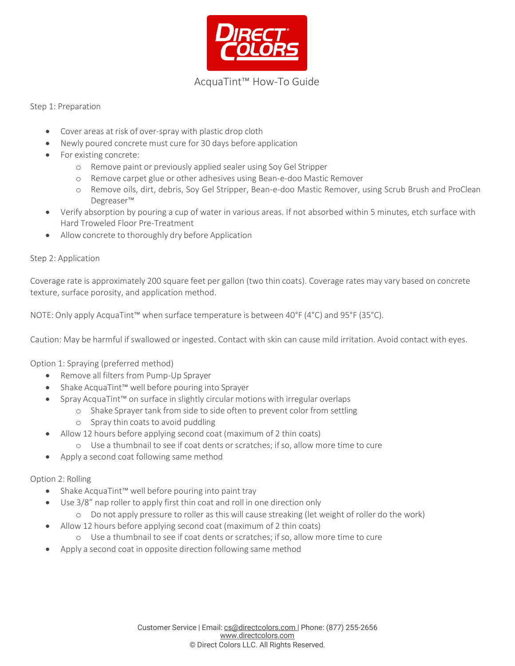

# AcquaTint™ How-To Guide

#### Step 1: Preparation

- Cover areas at risk of over-spray with plastic drop cloth
- Newly poured concrete must cure for 30 days before application
- For existing concrete:
	- o Remove paint or previously applied sealer using Soy Gel Stripper
	- o Remove carpet glue or other adhesives using Bean-e-doo Mastic Remover
	- o Remove oils, dirt, debris, Soy Gel Stripper, Bean-e-doo Mastic Remover, using Scrub Brush and ProClean Degreaser™
- Verify absorption by pouring a cup of water in various areas. If not absorbed within 5 minutes, etch surface with Hard Troweled Floor Pre-Treatment
- Allow concrete to thoroughly dry before Application

#### Step 2: Application

Coverage rate is approximately 200 square feet per gallon (two thin coats). Coverage rates may vary based on concrete texture, surface porosity, and application method.

NOTE: Only apply AcquaTint™ when surface temperature is between 40°F (4°C) and 95°F (35°C).

Caution: May be harmful if swallowed or ingested. Contact with skin can cause mild irritation. Avoid contact with eyes.

Option 1: Spraying (preferred method)

- Remove all filters from Pump-Up Sprayer
- Shake AcquaTint™ well before pouring into Sprayer
- Spray AcquaTint™ on surface in slightly circular motions with irregular overlaps
	- o Shake Sprayer tank from side to side often to prevent color from settling
		- o Spray thin coats to avoid puddling
- Allow 12 hours before applying second coat (maximum of 2 thin coats)
	- o Use a thumbnail to see if coat dents or scratches; ifso, allow more time to cure
- Apply a second coat following same method

#### Option 2: Rolling

- Shake AcquaTint™ well before pouring into paint tray
- Use 3/8" nap roller to apply first thin coat and roll in one direction only
	- o Do not apply pressure to roller as this will cause streaking (let weight of roller do the work)
- Allow 12 hours before applying second coat (maximum of 2 thin coats)
	- o Use a thumbnail to see if coat dents or scratches; ifso, allow more time to cure
- Apply a second coat in opposite direction following same method